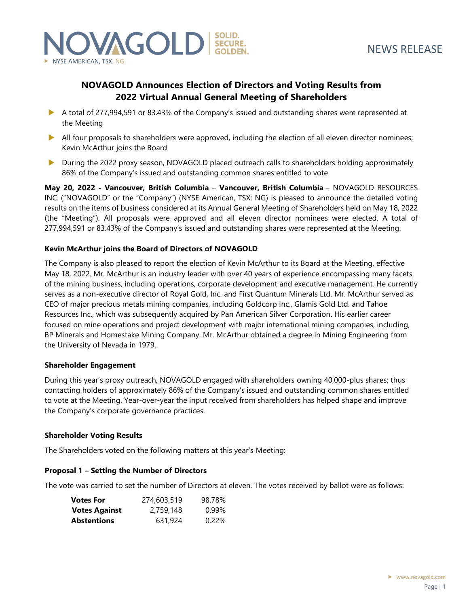

# **NOVAGOLD Announces Election of Directors and Voting Results from 2022 Virtual Annual General Meeting of Shareholders**

- A total of 277,994,591 or 83.43% of the Company's issued and outstanding shares were represented at the Meeting
- All four proposals to shareholders were approved, including the election of all eleven director nominees; Kevin McArthur joins the Board
- During the 2022 proxy season, NOVAGOLD placed outreach calls to shareholders holding approximately 86% of the Company's issued and outstanding common shares entitled to vote

**May 20, 2022 - Vancouver, British Columbia** – **Vancouver, British Columbia** – NOVAGOLD RESOURCES INC. ("NOVAGOLD" or the "Company") (NYSE American, TSX: NG) is pleased to announce the detailed voting results on the items of business considered at its Annual General Meeting of Shareholders held on May 18, 2022 (the "Meeting"). All proposals were approved and all eleven director nominees were elected. A total of 277,994,591 or 83.43% of the Company's issued and outstanding shares were represented at the Meeting.

## **Kevin McArthur joins the Board of Directors of NOVAGOLD**

The Company is also pleased to report the election of Kevin McArthur to its Board at the Meeting, effective May 18, 2022. Mr. McArthur is an industry leader with over 40 years of experience encompassing many facets of the mining business, including operations, corporate development and executive management. He currently serves as a non-executive director of Royal Gold, Inc. and First Quantum Minerals Ltd. Mr. McArthur served as CEO of major precious metals mining companies, including Goldcorp Inc., Glamis Gold Ltd. and Tahoe Resources Inc., which was subsequently acquired by Pan American Silver Corporation. His earlier career focused on mine operations and project development with major international mining companies, including, BP Minerals and Homestake Mining Company. Mr. McArthur obtained a degree in Mining Engineering from the University of Nevada in 1979.

#### **Shareholder Engagement**

During this year's proxy outreach, NOVAGOLD engaged with shareholders owning 40,000-plus shares; thus contacting holders of approximately 86% of the Company's issued and outstanding common shares entitled to vote at the Meeting. Year-over-year the input received from shareholders has helped shape and improve the Company's corporate governance practices.

#### **Shareholder Voting Results**

The Shareholders voted on the following matters at this year's Meeting:

#### **Proposal 1 – Setting the Number of Directors**

The vote was carried to set the number of Directors at eleven. The votes received by ballot were as follows:

| <b>Votes For</b>     | 274,603,519 | 98.78%   |
|----------------------|-------------|----------|
| <b>Votes Against</b> | 2,759,148   | $0.99\%$ |
| <b>Abstentions</b>   | 631,924     | 0.22%    |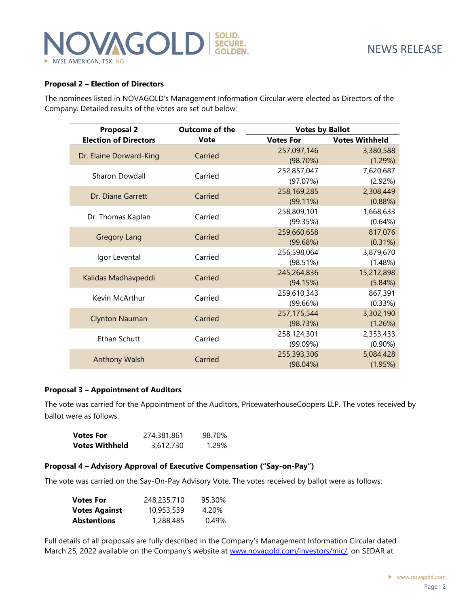### **Proposal 2 – Election of Directors**

The nominees listed in NOVAGOLD's Management Information Circular were elected as Directors of the Company. Detailed results of the votes are set out below:

| <b>Proposal 2</b>            | <b>Outcome of the</b> | <b>Votes by Ballot</b> |                       |
|------------------------------|-----------------------|------------------------|-----------------------|
| <b>Election of Directors</b> | <b>Vote</b>           | <b>Votes For</b>       | <b>Votes Withheld</b> |
|                              | Carried               | 257,097,146            | 3,380,588             |
| Dr. Elaine Dorward-King      |                       | (98.70%)               | (1.29%)               |
| Sharon Dowdall               | Carried               | 252,857,047            | 7,620,687             |
|                              |                       | (97.07%)               | (2.92%)               |
| Dr. Diane Garrett            | Carried               | 258,169,285            | 2,308,449             |
|                              |                       | $(99.11\%)$            | (0.88%)               |
| Dr. Thomas Kaplan            | Carried               | 258,809,101            | 1,668,633             |
|                              |                       | (99.35%)               | $(0.64\%)$            |
| <b>Gregory Lang</b>          | Carried               | 259,660,658            | 817,076               |
|                              |                       | (99.68%)               | (0.31%)               |
| Igor Levental                | Carried               | 256,598,064            | 3,879,670             |
|                              |                       | (98.51%)               | (1.48%)               |
| Kalidas Madhavpeddi          | Carried               | 245,264,836            | 15,212,898            |
|                              |                       | (94.15%)               | (5.84%)               |
| Kevin McArthur               | Carried               | 259,610,343            | 867,391               |
|                              |                       | (99.66%)               | (0.33%)               |
| <b>Clynton Nauman</b>        | Carried               | 257, 175, 544          | 3,302,190             |
|                              |                       | (98.73%)               | (1.26%)               |
| Ethan Schutt                 | Carried               | 258,124,301            | 2,353,433             |
|                              |                       | (99.09%)               | $(0.90\%)$            |
| Anthony Walsh                | Carried               | 255,393,306            | 5,084,428             |
|                              |                       | $(98.04\%)$            | (1.95%)               |

#### **Proposal 3 – Appointment of Auditors**

The vote was carried for the Appointment of the Auditors, PricewaterhouseCoopers LLP. The votes received by ballot were as follows:

| <b>Votes For</b>      | 274,381,861 | 98.70% |
|-----------------------|-------------|--------|
| <b>Votes Withheld</b> | 3,612,730   | 1.29%  |

#### **Proposal 4 – Advisory Approval of Executive Compensation ("Say-on-Pay")**

The vote was carried on the Say-On-Pay Advisory Vote. The votes received by ballot were as follows:

| <b>Votes For</b>     | 248,235,710 | 95.30% |
|----------------------|-------------|--------|
| <b>Votes Against</b> | 10,953,539  | 4.20%  |
| <b>Abstentions</b>   | 1,288,485   | 0.49%  |

Full details of all proposals are fully described in the Company's Management Information Circular dated March 25, 2022 available on the Company's website at [www.novagold.com/investors/mic/,](http://www.novagold.com/investors/mic/) on SEDAR at